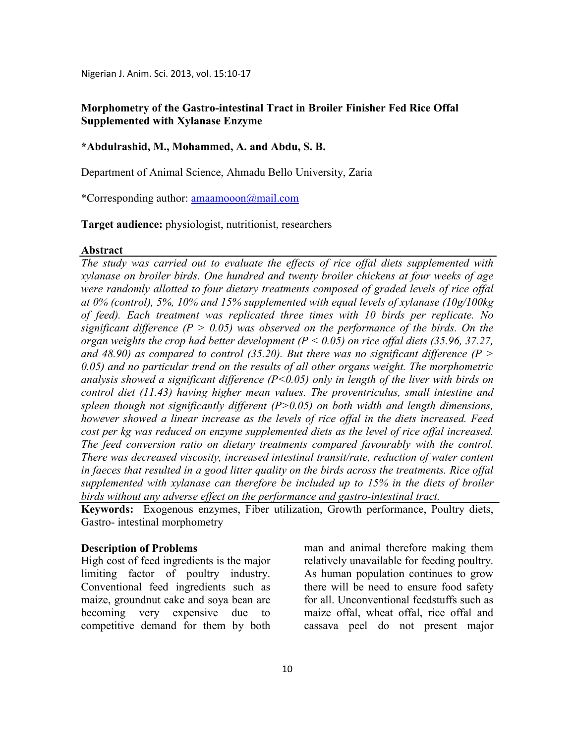Nigerian J. Anim. Sci. 2013, vol. 15:10-17

# **Morphometry of the Gastro-intestinal Tract in Broiler Finisher Fed Rice Offal Supplemented with Xylanase Enzyme**

## **\*Abdulrashid, M., Mohammed, A. and Abdu, S. B.**

Department of Animal Science, Ahmadu Bello University, Zaria

\*Corresponding author: amaamooon@mail.com

**Target audience:** physiologist, nutritionist, researchers

#### **Abstract**

*The study was carried out to evaluate the effects of rice offal diets supplemented with xylanase on broiler birds. One hundred and twenty broiler chickens at four weeks of age were randomly allotted to four dietary treatments composed of graded levels of rice offal at 0% (control), 5%, 10% and 15% supplemented with equal levels of xylanase (10g/100kg of feed). Each treatment was replicated three times with 10 birds per replicate. No significant difference*  $(P > 0.05)$  was observed on the performance of the birds. On the *organ weights the crop had better development (P < 0.05) on rice offal diets (35.96, 37.27,*  and 48.90) as compared to control (35.20). But there was no significant difference ( $P >$ *0.05) and no particular trend on the results of all other organs weight. The morphometric analysis showed a significant difference (P<0.05) only in length of the liver with birds on control diet (11.43) having higher mean values. The proventriculus, small intestine and spleen though not significantly different (P>0.05) on both width and length dimensions, however showed a linear increase as the levels of rice offal in the diets increased. Feed cost per kg was reduced on enzyme supplemented diets as the level of rice offal increased. The feed conversion ratio on dietary treatments compared favourably with the control. There was decreased viscosity, increased intestinal transit/rate, reduction of water content in faeces that resulted in a good litter quality on the birds across the treatments. Rice offal supplemented with xylanase can therefore be included up to 15% in the diets of broiler birds without any adverse effect on the performance and gastro-intestinal tract.* 

**Keywords:** Exogenous enzymes, Fiber utilization, Growth performance, Poultry diets, Gastro- intestinal morphometry

### **Description of Problems**

High cost of feed ingredients is the major limiting factor of poultry industry. Conventional feed ingredients such as maize, groundnut cake and soya bean are becoming very expensive due to competitive demand for them by both

man and animal therefore making them relatively unavailable for feeding poultry. As human population continues to grow there will be need to ensure food safety for all. Unconventional feedstuffs such as maize offal, wheat offal, rice offal and cassava peel do not present major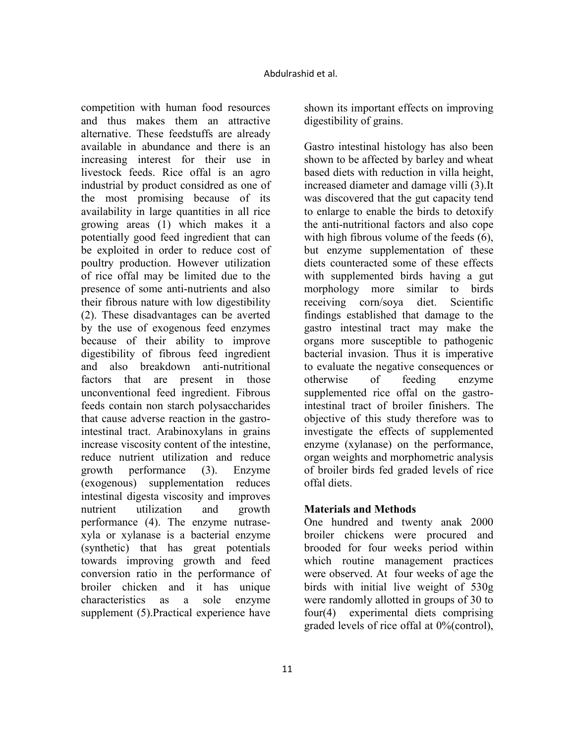competition with human food resources and thus makes them an attractive alternative. These feedstuffs are already available in abundance and there is an increasing interest for their use in livestock feeds. Rice offal is an agro industrial by product considred as one of the most promising because of its availability in large quantities in all rice growing areas (1) which makes it a potentially good feed ingredient that can be exploited in order to reduce cost of poultry production. However utilization of rice offal may be limited due to the presence of some anti-nutrients and also their fibrous nature with low digestibility (2). These disadvantages can be averted by the use of exogenous feed enzymes because of their ability to improve digestibility of fibrous feed ingredient and also breakdown anti-nutritional factors that are present in those unconventional feed ingredient. Fibrous feeds contain non starch polysaccharides that cause adverse reaction in the gastrointestinal tract. Arabinoxylans in grains increase viscosity content of the intestine, reduce nutrient utilization and reduce growth performance (3). Enzyme (exogenous) supplementation reduces intestinal digesta viscosity and improves nutrient utilization and growth performance (4). The enzyme nutrasexyla or xylanase is a bacterial enzyme (synthetic) that has great potentials towards improving growth and feed conversion ratio in the performance of broiler chicken and it has unique characteristics as a sole enzyme supplement (5). Practical experience have

shown its important effects on improving digestibility of grains.

Gastro intestinal histology has also been shown to be affected by barley and wheat based diets with reduction in villa height, increased diameter and damage villi (3).It was discovered that the gut capacity tend to enlarge to enable the birds to detoxify the anti-nutritional factors and also cope with high fibrous volume of the feeds  $(6)$ , but enzyme supplementation of these diets counteracted some of these effects with supplemented birds having a gut morphology more similar to birds receiving corn/soya diet. Scientific findings established that damage to the gastro intestinal tract may make the organs more susceptible to pathogenic bacterial invasion. Thus it is imperative to evaluate the negative consequences or otherwise of feeding enzyme supplemented rice offal on the gastrointestinal tract of broiler finishers. The objective of this study therefore was to investigate the effects of supplemented enzyme (xylanase) on the performance, organ weights and morphometric analysis of broiler birds fed graded levels of rice offal diets.

## **Materials and Methods**

One hundred and twenty anak 2000 broiler chickens were procured and brooded for four weeks period within which routine management practices were observed. At four weeks of age the birds with initial live weight of 530g were randomly allotted in groups of 30 to four(4) experimental diets comprising graded levels of rice offal at 0%(control),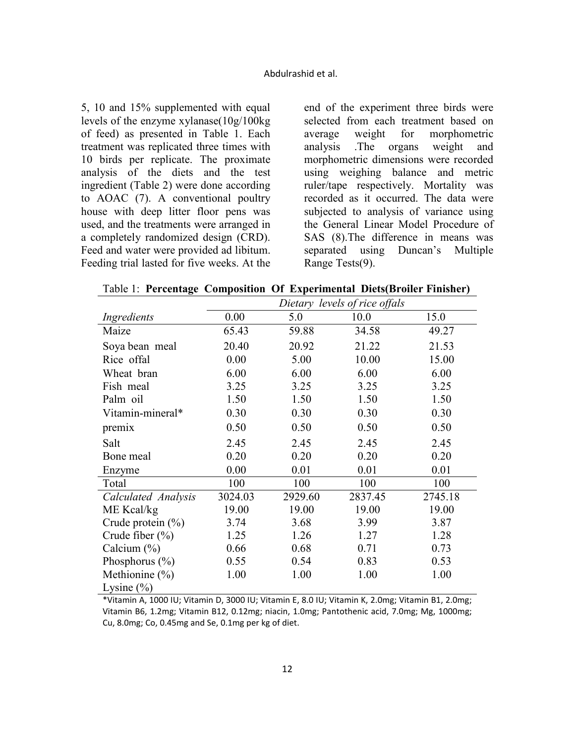5, 10 and 15% supplemented with equal levels of the enzyme xylanase(10g/100kg of feed) as presented in Table 1. Each treatment was replicated three times with 10 birds per replicate. The proximate analysis of the diets and the test ingredient (Table 2) were done according to AOAC (7). A conventional poultry house with deep litter floor pens was used, and the treatments were arranged in a completely randomized design (CRD). Feed and water were provided ad libitum. Feeding trial lasted for five weeks. At the

end of the experiment three birds were selected from each treatment based on average weight for morphometric analysis .The organs weight and morphometric dimensions were recorded using weighing balance and metric ruler/tape respectively. Mortality was recorded as it occurred. The data were subjected to analysis of variance using the General Linear Model Procedure of SAS (8).The difference in means was separated using Duncan's Multiple Range Tests(9).

Table 1: **Percentage Composition Of Experimental Diets(Broiler Finisher)**

|                       | Dietary levels of rice offals |         |         |         |  |  |  |
|-----------------------|-------------------------------|---------|---------|---------|--|--|--|
| Ingredients           | 0.00                          | 5.0     | 10.0    | 15.0    |  |  |  |
| Maize                 | 65.43                         | 59.88   | 34.58   | 49.27   |  |  |  |
| Soya bean meal        | 20.40                         | 20.92   | 21.22   | 21.53   |  |  |  |
| Rice offal            | 0.00                          | 5.00    | 10.00   | 15.00   |  |  |  |
| Wheat bran            | 6.00                          | 6.00    | 6.00    | 6.00    |  |  |  |
| Fish meal             | 3.25                          | 3.25    | 3.25    | 3.25    |  |  |  |
| Palm oil              | 1.50                          | 1.50    | 1.50    | 1.50    |  |  |  |
| Vitamin-mineral*      | 0.30                          | 0.30    | 0.30    | 0.30    |  |  |  |
| premix                | 0.50                          | 0.50    | 0.50    | 0.50    |  |  |  |
| Salt                  | 2.45                          | 2.45    | 2.45    | 2.45    |  |  |  |
| Bone meal             | 0.20                          | 0.20    | 0.20    | 0.20    |  |  |  |
| Enzyme                | 0.00                          | 0.01    | 0.01    | 0.01    |  |  |  |
| Total                 | 100                           | 100     | 100     | 100     |  |  |  |
| Calculated Analysis   | 3024.03                       | 2929.60 | 2837.45 | 2745.18 |  |  |  |
| ME Kcal/kg            | 19.00                         | 19.00   | 19.00   | 19.00   |  |  |  |
| Crude protein $(\% )$ | 3.74                          | 3.68    | 3.99    | 3.87    |  |  |  |
| Crude fiber $(\% )$   | 1.25                          | 1.26    | 1.27    | 1.28    |  |  |  |
| Calcium $(\%)$        | 0.66                          | 0.68    | 0.71    | 0.73    |  |  |  |
| Phosphorus $(\% )$    | 0.55                          | 0.54    | 0.83    | 0.53    |  |  |  |
| Methionine (%)        | 1.00                          | 1.00    | 1.00    | 1.00    |  |  |  |
| Lysine $(\% )$        |                               |         |         |         |  |  |  |

\*Vitamin A, 1000 IU; Vitamin D, 3000 IU; Vitamin E, 8.0 IU; Vitamin K, 2.0mg; Vitamin B1, 2.0mg; Vitamin B6, 1.2mg; Vitamin B12, 0.12mg; niacin, 1.0mg; Pantothenic acid, 7.0mg; Mg, 1000mg; Cu, 8.0mg; Co, 0.45mg and Se, 0.1mg per kg of diet.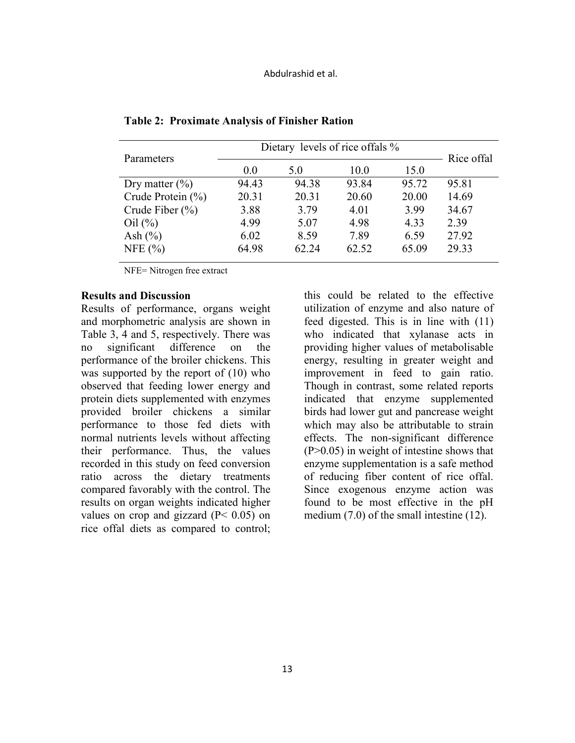| Rice offal                                |
|-------------------------------------------|
|                                           |
|                                           |
|                                           |
|                                           |
|                                           |
|                                           |
|                                           |
| 95.81<br>14.69<br>34.67<br>27.92<br>29.33 |

**Table 2: Proximate Analysis of Finisher Ration** 

NFE= Nitrogen free extract

### **Results and Discussion**

Results of performance, organs weight and morphometric analysis are shown in Table 3, 4 and 5, respectively. There was no significant difference on the performance of the broiler chickens. This was supported by the report of (10) who observed that feeding lower energy and protein diets supplemented with enzymes provided broiler chickens a similar performance to those fed diets with normal nutrients levels without affecting their performance. Thus, the values recorded in this study on feed conversion ratio across the dietary treatments compared favorably with the control. The results on organ weights indicated higher values on crop and gizzard  $(P< 0.05)$  on rice offal diets as compared to control;

this could be related to the effective utilization of enzyme and also nature of feed digested. This is in line with (11) who indicated that xylanase acts in providing higher values of metabolisable energy, resulting in greater weight and improvement in feed to gain ratio. Though in contrast, some related reports indicated that enzyme supplemented birds had lower gut and pancrease weight which may also be attributable to strain effects. The non-significant difference (P>0.05) in weight of intestine shows that enzyme supplementation is a safe method of reducing fiber content of rice offal. Since exogenous enzyme action was found to be most effective in the pH medium (7.0) of the small intestine (12).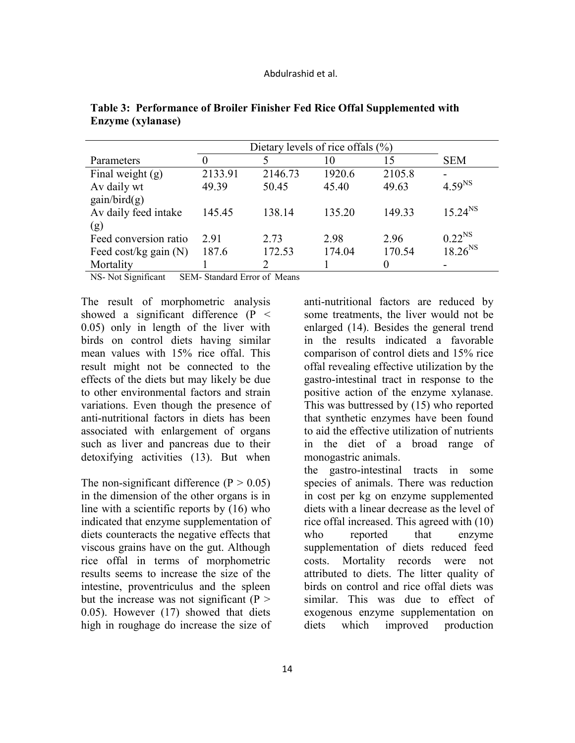|                         | Dietary levels of rice of fals $(\% )$ |                             |        |          |              |
|-------------------------|----------------------------------------|-----------------------------|--------|----------|--------------|
| Parameters              |                                        | 5                           | 10     | 15       | <b>SEM</b>   |
| Final weight $(g)$      | 2133.91                                | 2146.73                     | 1920.6 | 2105.8   |              |
| Av daily wt             | 49.39                                  | 50.45                       | 45.40  | 49.63    | $4.59^{NS}$  |
| gain/bird(g)            |                                        |                             |        |          |              |
| Av daily feed intake    | 145.45                                 | 138.14                      | 135.20 | 149.33   | $15.24^{NS}$ |
| (g)                     |                                        |                             |        |          |              |
| Feed conversion ratio   | 2.91                                   | 2.73                        | 2.98   | 2.96     | $0.22^{NS}$  |
| Feed cost/kg gain $(N)$ | 187.6                                  | 172.53                      | 174.04 | 170.54   | $18.26^{NS}$ |
| Mortality               |                                        | $\mathcal{D}_{\mathcal{L}}$ |        | $\theta$ |              |

**Table 3: Performance of Broiler Finisher Fed Rice Offal Supplemented with Enzyme (xylanase)** 

NS- Not Significant SEM- Standard Error of Means

The result of morphometric analysis showed a significant difference (P < 0.05) only in length of the liver with birds on control diets having similar mean values with 15% rice offal. This result might not be connected to the effects of the diets but may likely be due to other environmental factors and strain variations. Even though the presence of anti-nutritional factors in diets has been associated with enlargement of organs such as liver and pancreas due to their detoxifying activities (13). But when

The non-significant difference  $(P > 0.05)$ in the dimension of the other organs is in line with a scientific reports by (16) who indicated that enzyme supplementation of diets counteracts the negative effects that viscous grains have on the gut. Although rice offal in terms of morphometric results seems to increase the size of the intestine, proventriculus and the spleen but the increase was not significant  $(P >$ 0.05). However (17) showed that diets high in roughage do increase the size of anti-nutritional factors are reduced by some treatments, the liver would not be enlarged (14). Besides the general trend in the results indicated a favorable comparison of control diets and 15% rice offal revealing effective utilization by the gastro-intestinal tract in response to the positive action of the enzyme xylanase. This was buttressed by (15) who reported that synthetic enzymes have been found to aid the effective utilization of nutrients in the diet of a broad range of monogastric animals.

the gastro-intestinal tracts in some species of animals. There was reduction in cost per kg on enzyme supplemented diets with a linear decrease as the level of rice offal increased. This agreed with (10) who reported that enzyme supplementation of diets reduced feed costs. Mortality records were not attributed to diets. The litter quality of birds on control and rice offal diets was similar. This was due to effect of exogenous enzyme supplementation on diets which improved production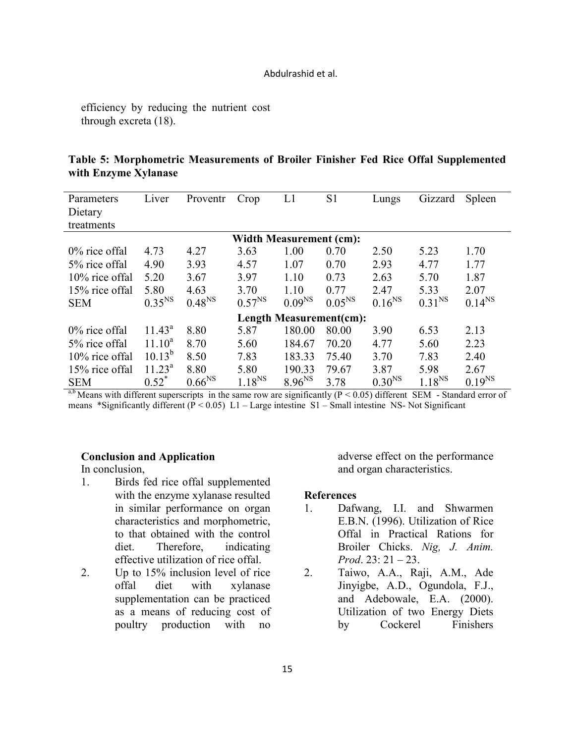#### Abdulrashid et al.

efficiency by reducing the nutrient cost through excreta (18).

| Table 5: Morphometric Measurements of Broiler Finisher Fed Rice Offal Supplemented |  |  |  |  |
|------------------------------------------------------------------------------------|--|--|--|--|
| with Enzyme Xylanase                                                               |  |  |  |  |

| Parameters                     | Liver              | Proventr             | Crop        | L1          | S1                 | Lungs              | Gizzard     | Spleen      |  |  |
|--------------------------------|--------------------|----------------------|-------------|-------------|--------------------|--------------------|-------------|-------------|--|--|
| Dietary                        |                    |                      |             |             |                    |                    |             |             |  |  |
| treatments                     |                    |                      |             |             |                    |                    |             |             |  |  |
| <b>Width Measurement (cm):</b> |                    |                      |             |             |                    |                    |             |             |  |  |
| $0\%$ rice offal               | 4.73               | 4.27                 | 3.63        | 1.00        | 0.70               | 2.50               | 5.23        | 1.70        |  |  |
| 5% rice offal                  | 4.90               | 3.93                 | 4.57        | 1.07        | 0.70               | 2.93               | 4.77        | 1.77        |  |  |
| 10% rice offal                 | 5.20               | 3.67                 | 3.97        | 1.10        | 0.73               | 2.63               | 5.70        | 1.87        |  |  |
| 15% rice offal                 | 5.80               | 4.63                 | 3.70        | 1.10        | 0.77               | 2.47               | 5.33        | 2.07        |  |  |
| <b>SEM</b>                     | 0.35 <sup>NS</sup> | 0.48 <sup>NS</sup>   | $0.57^{NS}$ | $0.09^{NS}$ | 0.05 <sup>NS</sup> | $0.16^{NS}$        | $0.31^{NS}$ | $0.14^{NS}$ |  |  |
| <b>Length Measurement(cm):</b> |                    |                      |             |             |                    |                    |             |             |  |  |
| $0\%$ rice offal               | $11.43^a$          | 8.80                 | 5.87        | 180.00      | 80.00              | 3.90               | 6.53        | 2.13        |  |  |
| 5% rice offal                  | $11.10^a$          | 8.70                 | 5.60        | 184.67      | 70.20              | 4.77               | 5.60        | 2.23        |  |  |
| 10% rice offal                 | $10.13^{b}$        | 8.50                 | 7.83        | 183.33      | 75.40              | 3.70               | 7.83        | 2.40        |  |  |
| 15% rice offal                 | $11.23^a$          | 8.80                 | 5.80        | 190.33      | 79.67              | 3.87               | 5.98        | 2.67        |  |  |
| <b>SEM</b>                     | $0.52^*$           | $0.66^{\mathrm{NS}}$ | $1.18^{NS}$ | $8.96^{NS}$ | 3.78               | 0.30 <sup>NS</sup> | $1.18^{NS}$ | $0.19^{NS}$ |  |  |

<sup>a,b</sup> Means with different superscripts in the same row are significantly ( $P < 0.05$ ) different SEM - Standard error of means \*Significantly different ( $P < 0.05$ ) L1 – Large intestine S1 – Small intestine NS- Not Significant

## **Conclusion and Application**

In conclusion,

- 1. Birds fed rice offal supplemented with the enzyme xylanase resulted in similar performance on organ characteristics and morphometric, to that obtained with the control diet. Therefore, indicating effective utilization of rice offal.
- 2. Up to 15% inclusion level of rice offal diet with xylanase supplementation can be practiced as a means of reducing cost of poultry production with no

adverse effect on the performance and organ characteristics.

### **References**

- 1. Dafwang, I.I. and Shwarmen E.B.N. (1996). Utilization of Rice Offal in Practical Rations for Broiler Chicks. *Nig, J. Anim. Prod*. 23: 21 – 23.
- 2. Taiwo, A.A., Raji, A.M., Ade Jinyigbe, A.D., Ogundola, F.J., and Adebowale, E.A. (2000). Utilization of two Energy Diets by Cockerel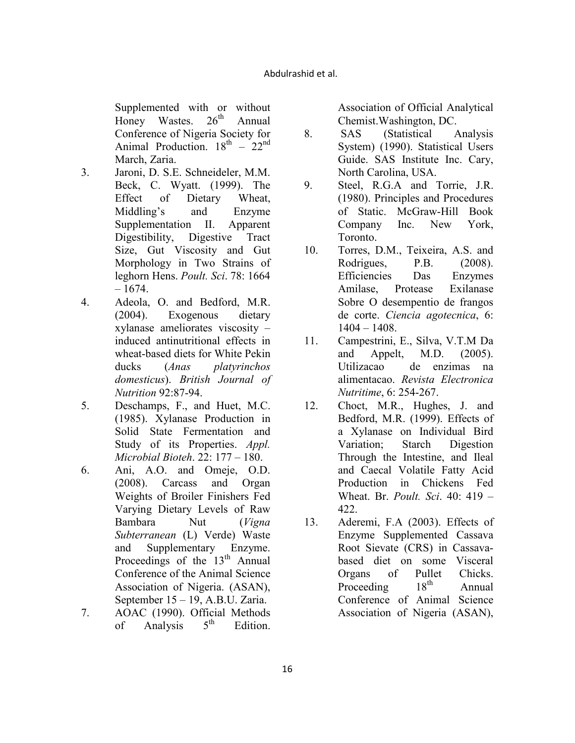Supplemented with or without  $H$  Honey Wastes  $26<sup>th</sup>$  Annual Honey Wastes.  $26<sup>th</sup>$  Annual Conference of Nigeria Society for Animal Production.  $18^{th} - 22^{nd}$ March, Zaria.

- 3. Jaroni, D. S.E. Schneideler, M.M. Beck, C. Wyatt. (1999). The Effect of Dietary Wheat, Middling's and Enzyme Supplementation II. Apparent Digestibility, Digestive Tract Size, Gut Viscosity and Gut Morphology in Two Strains of leghorn Hens. *Poult. Sci*. 78: 1664  $-1674.$
- 4. Adeola, O. and Bedford, M.R. (2004). Exogenous dietary xylanase ameliorates viscosity – induced antinutritional effects in wheat-based diets for White Pekin ducks (*Anas platyrinchos domesticus*). *British Journal of utrition* 92:87-94.
- 5. Deschamps, F., and Huet, M.C. (1985). Xylanase Production in Solid State Fermentation and Study of its Properties. *Appl. Microbial Bioteh*. 22: 177 – 180.
- 6. Ani, A.O. and Omeje, O.D. (2008). Carcass and Organ Weights of Broiler Finishers Fed Varying Dietary Levels of Raw Bambara Nut (*Vigna Subterranean* (L) Verde) Waste and Supplementary Enzyme. Proceedings of the  $13<sup>th</sup>$  Annual Conference of the Animal Science Association of Nigeria. (ASAN), September 15 – 19, A.B.U. Zaria.
- 7. AOAC (1990). Official Methods<br>of Analysis  $5^{th}$  Edition. of Analysis  $5<sup>th</sup>$  Edition.

Association of Official Analytical Chemist.Washington, DC.

- 8. SAS (Statistical Analysis System) (1990). Statistical Users Guide. SAS Institute Inc. Cary, North Carolina, USA.
- 9. Steel, R.G.A and Torrie, J.R. (1980). Principles and Procedures of Static. McGraw-Hill Book Company Inc. New York, Toronto.
- 10. Torres, D.M., Teixeira, A.S. and Rodrigues, P.B. (2008). Efficiencies Das Enzymes Amilase, Protease Exilanase Sobre O desempentio de frangos de corte. *Ciencia agotecnica*, 6: 1404 – 1408.
- 11. Campestrini, E., Silva, V.T.M Da and Appelt, M.D. (2005). Utilizacao de enzimas na alimentacao. *Revista Electronica utritime*, 6: 254-267.
- 12. Choct, M.R., Hughes, J. and Bedford, M.R. (1999). Effects of a Xylanase on Individual Bird Variation; Starch Digestion Through the Intestine, and Ileal and Caecal Volatile Fatty Acid Production in Chickens Fed Wheat. Br. *Poult. Sci*. 40: 419 – 422.
- 13. Aderemi, F.A (2003). Effects of Enzyme Supplemented Cassava Root Sievate (CRS) in Cassavabased diet on some Visceral Organs of Pullet Chicks.<br>Proceeding 18<sup>th</sup> Annual Proceeding  $18<sup>tn</sup>$  Annual Conference of Animal Science Association of Nigeria (ASAN),